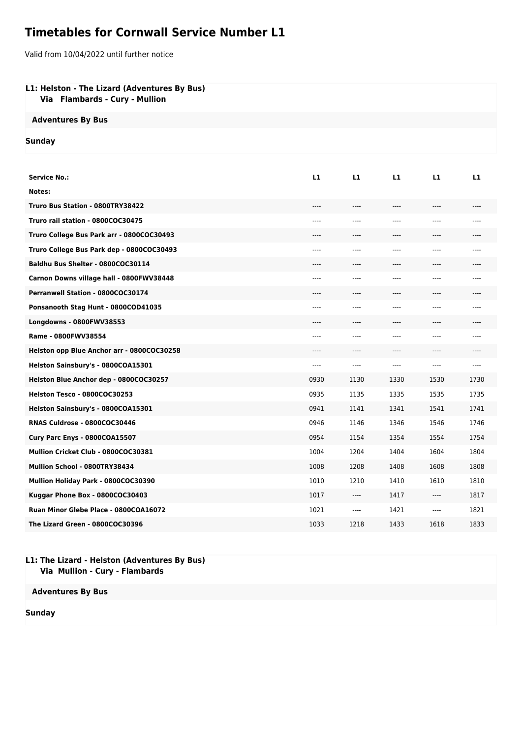# **Timetables for Cornwall Service Number L1**

Valid from 10/04/2022 until further notice

## **L1: Helston - The Lizard (Adventures By Bus)**

 **Via Flambards - Cury - Mullion**

## **Adventures By Bus**

### **Sunday**

| <b>Service No.:</b>                        | L1    | L1    | L1    | L1    | L1    |
|--------------------------------------------|-------|-------|-------|-------|-------|
| Notes:                                     |       |       |       |       |       |
| Truro Bus Station - 0800TRY38422           | ----  | $---$ | $---$ | $---$ | $---$ |
| Truro rail station - 0800COC30475          | ----  | ----  | ----  | $---$ | $---$ |
| Truro College Bus Park arr - 0800COC30493  | ----  | ----  | ----  | $---$ | ----  |
| Truro College Bus Park dep - 0800COC30493  | ----  | ----  | $---$ | ----  | $---$ |
| Baldhu Bus Shelter - 0800COC30114          |       | ----  |       | ----  |       |
| Carnon Downs village hall - 0800FWV38448   | ----  | ----  | ----  | ----  | $---$ |
| Perranwell Station - 0800COC30174          | ----  | ----  | ----  | ----  | ----  |
| Ponsanooth Stag Hunt - 0800COD41035        | $---$ | ----  | $---$ | $---$ | $---$ |
| Longdowns - 0800FWV38553                   | ----  | ----  | $---$ | $---$ | $---$ |
| Rame - 0800FWV38554                        | ----  | ----  | $---$ | $---$ | $---$ |
| Helston opp Blue Anchor arr - 0800COC30258 | ----  | ----  | $---$ | ----  | $---$ |
| Helston Sainsbury's - 0800COA15301         | ----  | ----  | ----  | ----  | $---$ |
| Helston Blue Anchor dep - 0800COC30257     | 0930  | 1130  | 1330  | 1530  | 1730  |
| Helston Tesco - 0800COC30253               | 0935  | 1135  | 1335  | 1535  | 1735  |
| Helston Sainsbury's - 0800COA15301         | 0941  | 1141  | 1341  | 1541  | 1741  |
| RNAS Culdrose - 0800COC30446               | 0946  | 1146  | 1346  | 1546  | 1746  |
| Cury Parc Enys - 0800COA15507              | 0954  | 1154  | 1354  | 1554  | 1754  |
| Mullion Cricket Club - 0800COC30381        | 1004  | 1204  | 1404  | 1604  | 1804  |
| Mullion School - 0800TRY38434              | 1008  | 1208  | 1408  | 1608  | 1808  |
| Mullion Holiday Park - 0800COC30390        | 1010  | 1210  | 1410  | 1610  | 1810  |
| Kuggar Phone Box - 0800COC30403            | 1017  | ----  | 1417  | ----  | 1817  |
| Ruan Minor Glebe Place - 0800COA16072      | 1021  | $---$ | 1421  | ----  | 1821  |
| The Lizard Green - 0800COC30396            | 1033  | 1218  | 1433  | 1618  | 1833  |

#### **L1: The Lizard - Helston (Adventures By Bus) Via Mullion - Cury - Flambards**

**Adventures By Bus**

**Sunday**